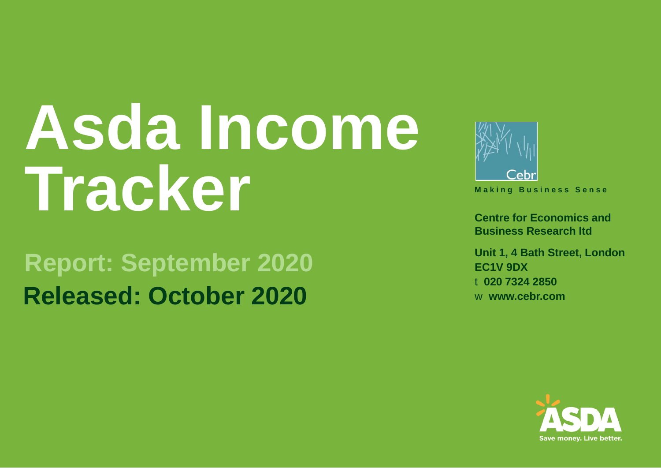# **Asda Income Tracker**

#### **Report: September 2020 Released: October 2020**



**M a k i n g B u s i n e s s S e n s e**

**Centre for Economics and Business Research ltd**

**Unit 1, 4 Bath Street, London EC1V 9DX** t **020 7324 2850** w **www.cebr.com**

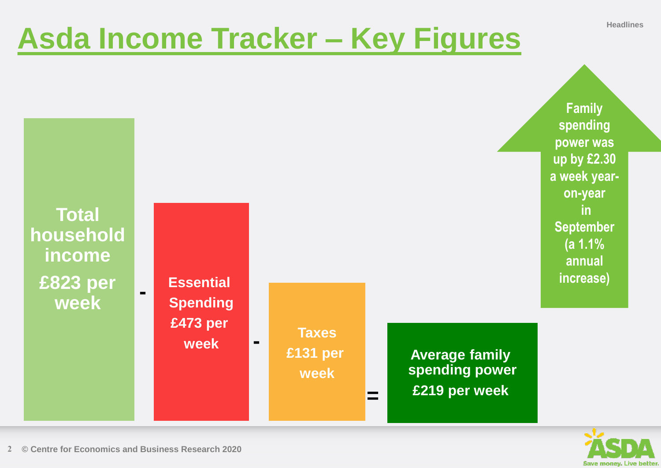# **Asda Income Tracker – Key Figures Headlines**



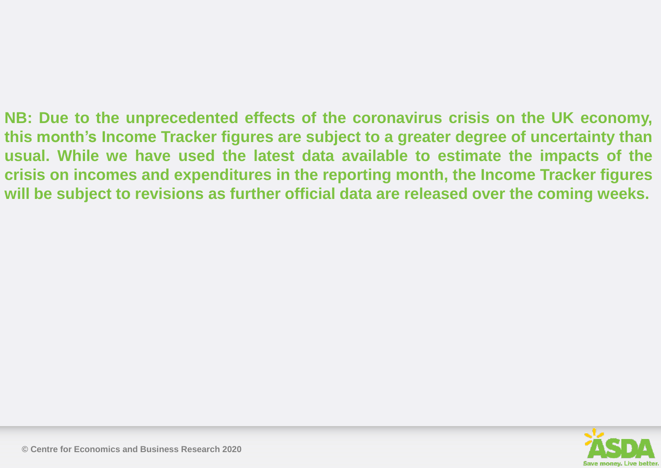**NB: Due to the unprecedented effects of the coronavirus crisis on the UK economy, this month's Income Tracker figures are subject to a greater degree of uncertainty than usual. While we have used the latest data available to estimate the impacts of the crisis on incomes and expenditures in the reporting month, the Income Tracker figures will be subject to revisions as further official data are released over the coming weeks.**

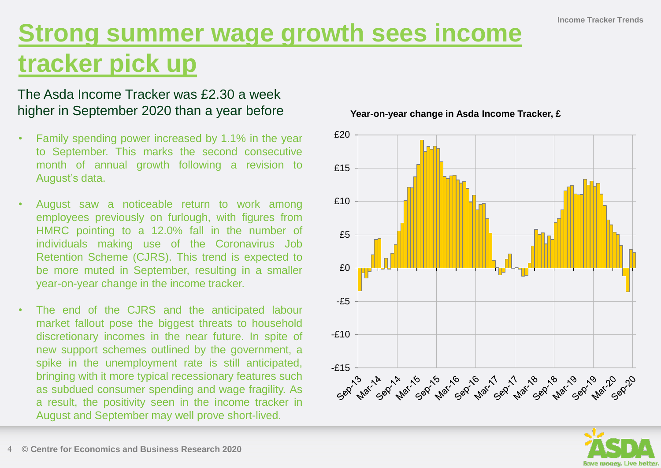#### **Strong summer wage growth sees income tracker pick up**

#### The Asda Income Tracker was £2.30 a week higher in September 2020 than a year before

- Family spending power increased by 1.1% in the year to September. This marks the second consecutive month of annual growth following a revision to August's data.
- August saw a noticeable return to work among employees previously on furlough, with figures from HMRC pointing to a 12.0% fall in the number of individuals making use of the Coronavirus Job Retention Scheme (CJRS). This trend is expected to be more muted in September, resulting in a smaller year-on-year change in the income tracker.
- The end of the CJRS and the anticipated labour market fallout pose the biggest threats to household discretionary incomes in the near future. In spite of new support schemes outlined by the government, a spike in the unemployment rate is still anticipated, bringing with it more typical recessionary features such as subdued consumer spending and wage fragility. As a result, the positivity seen in the income tracker in August and September may well prove short-lived.

**Year-on-year change in Asda Income Tracker, £**



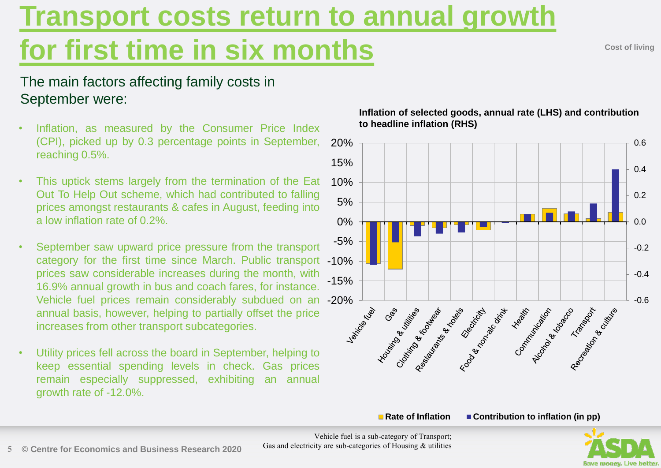# **Transport costs return to annual growth**

### **for first time in six months**

**Cost of living**

#### The main factors affecting family costs in September were:

- Inflation, as measured by the Consumer Price Index (CPI), picked up by 0.3 percentage points in September, reaching 0.5%.
- This uptick stems largely from the termination of the Eat Out To Help Out scheme, which had contributed to falling prices amongst restaurants & cafes in August, feeding into a low inflation rate of 0.2%.
- September saw upward price pressure from the transport category for the first time since March. Public transport -10% prices saw considerable increases during the month, with 16.9% annual growth in bus and coach fares, for instance. Vehicle fuel prices remain considerably subdued on an -20% annual basis, however, helping to partially offset the price increases from other transport subcategories.
- Utility prices fell across the board in September, helping to keep essential spending levels in check. Gas prices remain especially suppressed, exhibiting an annual growth rate of -12.0%.



**Inflation of selected goods, annual rate (LHS) and contribution to headline inflation (RHS)**

■ Rate of Inflation ■ Contribution to inflation (in pp)



Vehicle fuel is a sub-category of Transport; Gas and electricity are sub-categories of Housing & utilities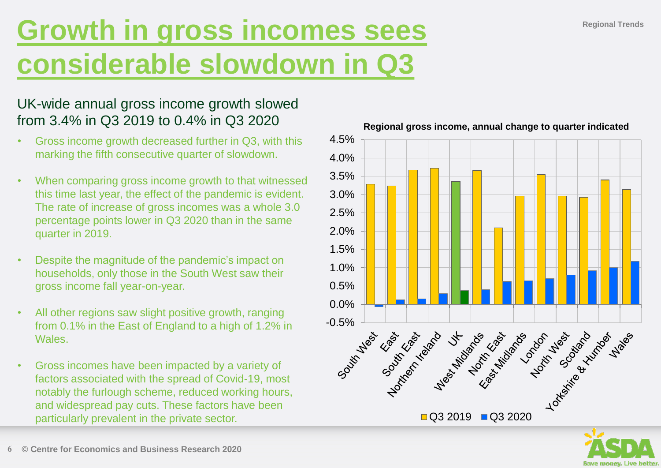### **Growth in gross incomes sees considerable slowdown in Q3**

#### UK-wide annual gross income growth slowed from 3.4% in Q3 2019 to 0.4% in Q3 2020

- Gross income growth decreased further in Q3, with this marking the fifth consecutive quarter of slowdown.
- When comparing gross income growth to that witnessed this time last year, the effect of the pandemic is evident. The rate of increase of gross incomes was a whole 3.0 percentage points lower in Q3 2020 than in the same quarter in 2019.
- Despite the magnitude of the pandemic's impact on households, only those in the South West saw their gross income fall year-on-year.
- All other regions saw slight positive growth, ranging from 0.1% in the East of England to a high of 1.2% in Wales.
- Gross incomes have been impacted by a variety of factors associated with the spread of Covid-19, most notably the furlough scheme, reduced working hours, and widespread pay cuts. These factors have been particularly prevalent in the private sector.



#### **Regional gross income, annual change to quarter indicated**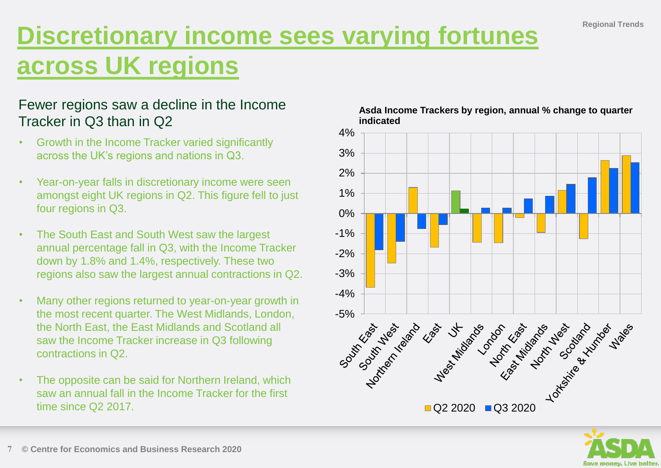#### **Discretionary income sees varying fortunes across UK regions**

#### Fewer regions saw a decline in the Income Tracker in Q3 than in Q2

- Growth in the Income Tracker varied significantly across the UK's regions and nations in Q3.
- Year-on-year falls in discretionary income were seen amongst eight UK regions in Q2. This figure fell to just four regions in Q3.
- The South East and South West saw the largest annual percentage fall in Q3, with the Income Tracker down by 1.8% and 1.4%, respectively. These two regions also saw the largest annual contractions in Q2.
- Many other regions returned to year-on-year growth in the most recent quarter. The West Midlands, London, the North East, the East Midlands and Scotland all saw the Income Tracker increase in Q3 following contractions in Q2.
- The opposite can be said for Northern Ireland, which saw an annual fall in the Income Tracker for the first time since Q2 2017.





**Asda Income Trackers by region, annual % change to quarter indicated**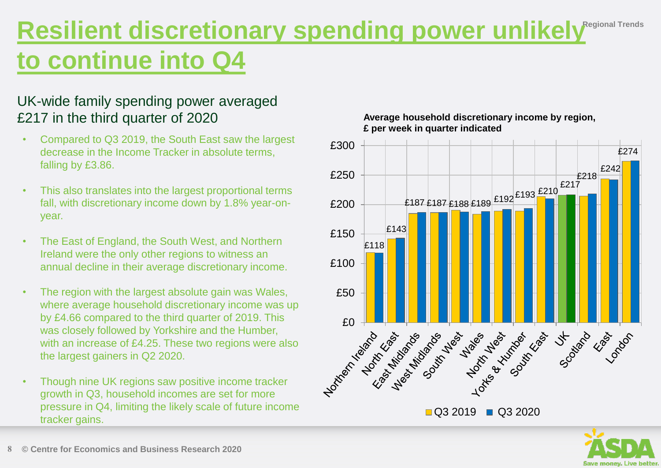#### **Resilient discretionary spending power unlikely Regional Trends to continue into Q4**

#### UK-wide family spending power averaged £217 in the third quarter of 2020

- Compared to Q3 2019, the South East saw the largest decrease in the Income Tracker in absolute terms, falling by £3.86.
- This also translates into the largest proportional terms fall, with discretionary income down by 1.8% year-onyear.
- The East of England, the South West, and Northern Ireland were the only other regions to witness an annual decline in their average discretionary income.
- The region with the largest absolute gain was Wales, where average household discretionary income was up by £4.66 compared to the third quarter of 2019. This was closely followed by Yorkshire and the Humber, with an increase of £4.25. These two regions were also the largest gainers in Q2 2020.
- Though nine UK regions saw positive income tracker growth in Q3, household incomes are set for more pressure in Q4, limiting the likely scale of future income tracker gains.

#### **Average household discretionary income by region, £ per week in quarter indicated**



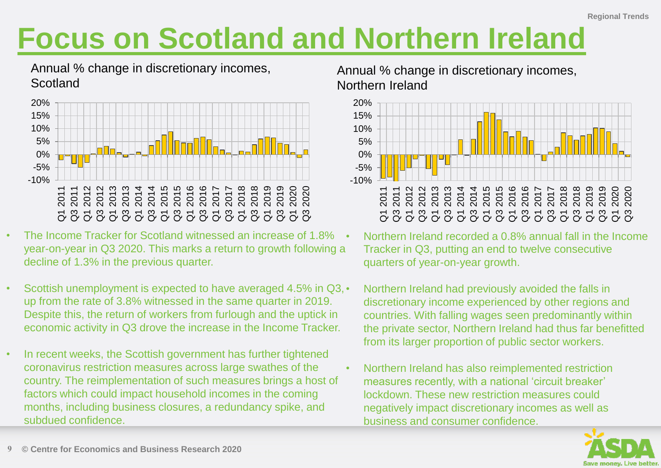# **Focus on Scotland and Northern Ireland**

Annual % change in discretionary incomes, **Scotland** 



- The Income Tracker for Scotland witnessed an increase of 1.8% year-on-year in Q3 2020. This marks a return to growth following a decline of 1.3% in the previous quarter.
- Scottish unemployment is expected to have averaged 4.5% in Q3, up from the rate of 3.8% witnessed in the same quarter in 2019. Despite this, the return of workers from furlough and the uptick in economic activity in Q3 drove the increase in the Income Tracker.
- In recent weeks, the Scottish government has further tightened coronavirus restriction measures across large swathes of the country. The reimplementation of such measures brings a host of factors which could impact household incomes in the coming months, including business closures, a redundancy spike, and subdued confidence.

Annual % change in discretionary incomes, Northern Ireland



- Northern Ireland recorded a 0.8% annual fall in the Income Tracker in Q3, putting an end to twelve consecutive quarters of year-on-year growth.
- Northern Ireland had previously avoided the falls in discretionary income experienced by other regions and countries. With falling wages seen predominantly within the private sector, Northern Ireland had thus far benefitted from its larger proportion of public sector workers.
- Northern Ireland has also reimplemented restriction measures recently, with a national 'circuit breaker' lockdown. These new restriction measures could negatively impact discretionary incomes as well as business and consumer confidence.

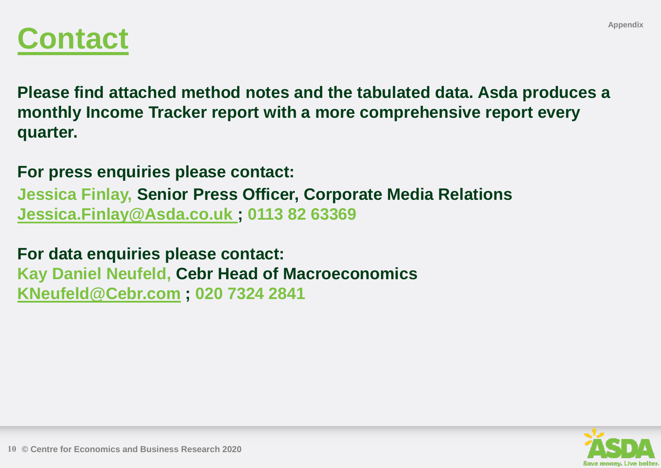

**Please find attached method notes and the tabulated data. Asda produces a monthly Income Tracker report with a more comprehensive report every quarter.**

**For press enquiries please contact:**

**Jessica Finlay, Senior Press Officer, Corporate Media Relations [Jessica.Finlay@Asda.co.uk ;](mailto:Jessica.Finlay@Asda.co.uk) 0113 82 63369**

**For data enquiries please contact: Kay Daniel Neufeld, Cebr Head of Macroeconomics [KNeufeld@Cebr.com](mailto:kneufeld@cebr.com?subject=ASDA%20Income%20Tracker%20enquiry) ; 020 7324 2841**

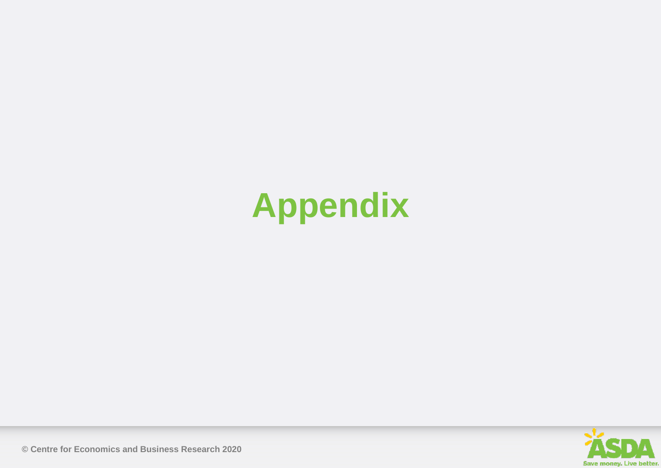# **Appendix**

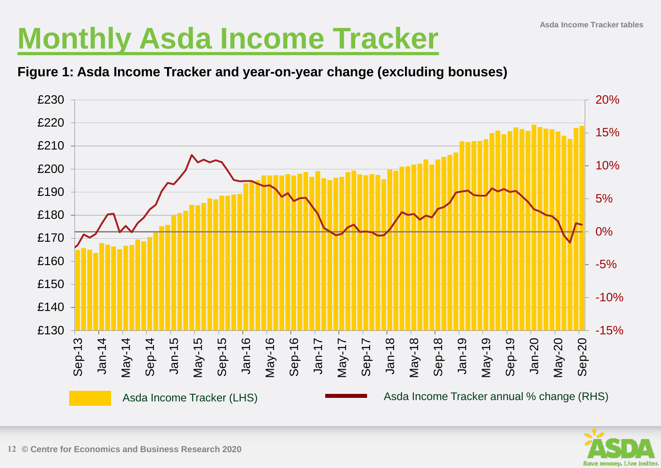# **Monthly Asda Income Tracker Asda Income Tracker tables**

#### **Figure 1: Asda Income Tracker and year-on-year change (excluding bonuses)**



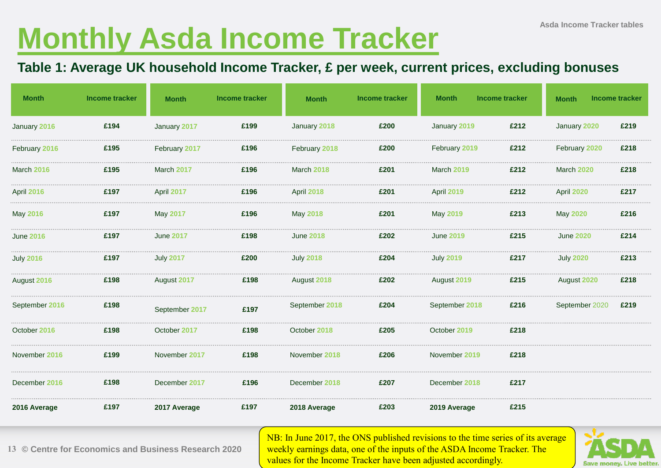# **Monthly Asda Income Tracker**

#### **Table 1: Average UK household Income Tracker, £ per week, current prices, excluding bonuses**

| <b>Month</b>      | <b>Income tracker</b> | <b>Month</b>     | <b>Income tracker</b> | <b>Month</b>     | <b>Income tracker</b> | <b>Month</b>     | <b>Income tracker</b> | <b>Month</b>     | <b>Income tracker</b> |
|-------------------|-----------------------|------------------|-----------------------|------------------|-----------------------|------------------|-----------------------|------------------|-----------------------|
| January 2016      | £194                  | January 2017     | £199                  | January 2018     | £200                  | January 2019     | £212                  | January 2020     | £219                  |
| February 2016     | £195                  | February 2017    | £196                  | February 2018    | £200                  | February 2019    | £212                  | February 2020    | £218                  |
| March 2016        | £195                  | March 2017       | £196                  | March 2018       | £201                  | March 2019       | £212                  | March 2020       | £218                  |
| <b>April 2016</b> | £197                  | April 2017       | £196                  | April 2018       | £201                  | April 2019       | £212                  | April 2020       | £217                  |
| May 2016          | £197                  | May 2017         | £196                  | May 2018         | £201                  | May 2019         | £213                  | May 2020         | £216                  |
| <b>June 2016</b>  | £197                  | <b>June 2017</b> | £198                  | <b>June 2018</b> | £202                  | <b>June 2019</b> | £215                  | <b>June 2020</b> | £214                  |
| <b>July 2016</b>  | £197                  | <b>July 2017</b> | £200                  | <b>July 2018</b> | £204                  | <b>July 2019</b> | £217                  | <b>July 2020</b> | £213                  |
| August 2016       | £198                  | August 2017      | £198                  | August 2018      | £202                  | August 2019      | £215                  | August 2020      | £218                  |
| September 2016    | £198                  | September 2017   | £197                  | September 2018   | £204                  | September 2018   | £216                  | September 2020   | £219                  |
| October 2016      | £198                  | October 2017     | £198                  | October 2018     | £205                  | October 2019     | £218                  |                  |                       |
| November 2016     | £199                  | November 2017    | £198                  | November 2018    | £206                  | November 2019    | £218                  |                  |                       |
| December 2016     | £198                  | December 2017    | £196                  | December 2018    | £207                  | December 2018    | £217                  |                  |                       |
| 2016 Average      | £197                  | 2017 Average     | £197                  | 2018 Average     | £203                  | 2019 Average     | £215                  |                  |                       |



NB: In June 2017, the ONS published revisions to the time series of its average weekly earnings data, one of the inputs of the ASDA Income Tracker. The values for the Income Tracker have been adjusted accordingly.

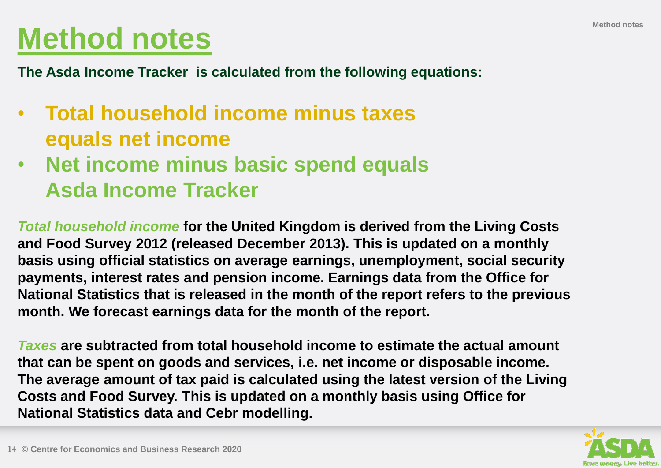# **Method notes**

**The Asda Income Tracker is calculated from the following equations:**

- **Total household income minus taxes equals net income**
- **Net income minus basic spend equals Asda Income Tracker**

*Total household income* **for the United Kingdom is derived from the Living Costs and Food Survey 2012 (released December 2013). This is updated on a monthly basis using official statistics on average earnings, unemployment, social security payments, interest rates and pension income. Earnings data from the Office for National Statistics that is released in the month of the report refers to the previous month. We forecast earnings data for the month of the report.** 

*Taxes* **are subtracted from total household income to estimate the actual amount that can be spent on goods and services, i.e. net income or disposable income. The average amount of tax paid is calculated using the latest version of the Living Costs and Food Survey. This is updated on a monthly basis using Office for National Statistics data and Cebr modelling.**

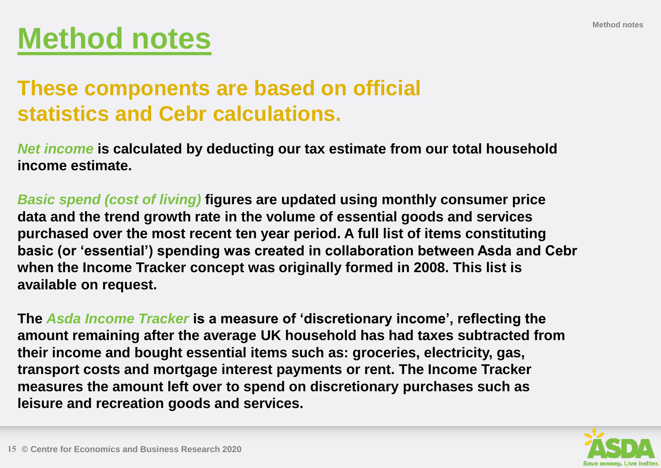# **Method notes**

#### **These components are based on official statistics and Cebr calculations.**

*Net income* **is calculated by deducting our tax estimate from our total household income estimate.** 

*Basic spend (cost of living)* **figures are updated using monthly consumer price data and the trend growth rate in the volume of essential goods and services purchased over the most recent ten year period. A full list of items constituting basic (or 'essential') spending was created in collaboration between Asda and Cebr when the Income Tracker concept was originally formed in 2008. This list is available on request.**

**The** *Asda Income Tracker* **is a measure of 'discretionary income', reflecting the amount remaining after the average UK household has had taxes subtracted from their income and bought essential items such as: groceries, electricity, gas, transport costs and mortgage interest payments or rent. The Income Tracker measures the amount left over to spend on discretionary purchases such as leisure and recreation goods and services.**